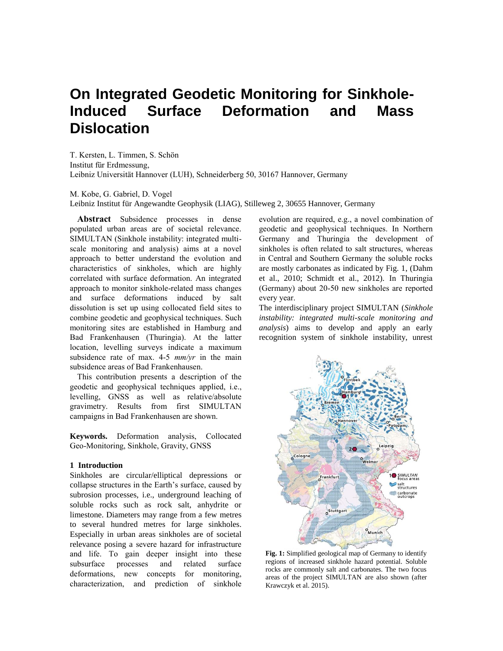# **On Integrated Geodetic Monitoring for Sinkhole-Induced Surface Deformation and Mass Dislocation**

T. Kersten, L. Timmen, S. Schön Institut für Erdmessung, Leibniz Universität Hannover (LUH), Schneiderberg 50, 30167 Hannover, Germany

M. Kobe, G. Gabriel, D. Vogel

Leibniz Institut für Angewandte Geophysik (LIAG), Stilleweg 2, 30655 Hannover, Germany

**Abstract** Subsidence processes in dense populated urban areas are of societal relevance. SIMULTAN (Sinkhole instability: integrated multiscale monitoring and analysis) aims at a novel approach to better understand the evolution and characteristics of sinkholes, which are highly correlated with surface deformation. An integrated approach to monitor sinkhole-related mass changes and surface deformations induced by salt dissolution is set up using collocated field sites to combine geodetic and geophysical techniques. Such monitoring sites are established in Hamburg and Bad Frankenhausen (Thuringia). At the latter location, levelling surveys indicate a maximum subsidence rate of max. 4-5 *mm/yr* in the main subsidence areas of Bad Frankenhausen.

This contribution presents a description of the geodetic and geophysical techniques applied, i.e., levelling, GNSS as well as relative/absolute gravimetry. Results from first SIMULTAN campaigns in Bad Frankenhausen are shown.

**Keywords.** Deformation analysis, Collocated Geo-Monitoring, Sinkhole, Gravity, GNSS

## **1 Introduction**

Sinkholes are circular/elliptical depressions or collapse structures in the Earth's surface, caused by subrosion processes, i.e., underground leaching of soluble rocks such as rock salt, anhydrite or limestone. Diameters may range from a few metres to several hundred metres for large sinkholes. Especially in urban areas sinkholes are of societal relevance posing a severe hazard for infrastructure and life. To gain deeper insight into these subsurface processes and related surface deformations, new concepts for monitoring, characterization, and prediction of sinkhole

evolution are required, e.g., a novel combination of geodetic and geophysical techniques. In Northern Germany and Thuringia the development of sinkholes is often related to salt structures, whereas in Central and Southern Germany the soluble rocks are mostly carbonates as indicated by Fig. 1, (Dahm et al., 2010; Schmidt et al., 2012). In Thuringia (Germany) about 20-50 new sinkholes are reported every year.

The interdisciplinary project SIMULTAN (*Sinkhole instability: integrated multi-scale monitoring and analysis*) aims to develop and apply an early recognition system of sinkhole instability, unrest



**Fig. 1:** Simplified geological map of Germany to identify regions of increased sinkhole hazard potential. Soluble rocks are commonly salt and carbonates. The two focus areas of the project SIMULTAN are also shown (after Krawczyk et al. 2015).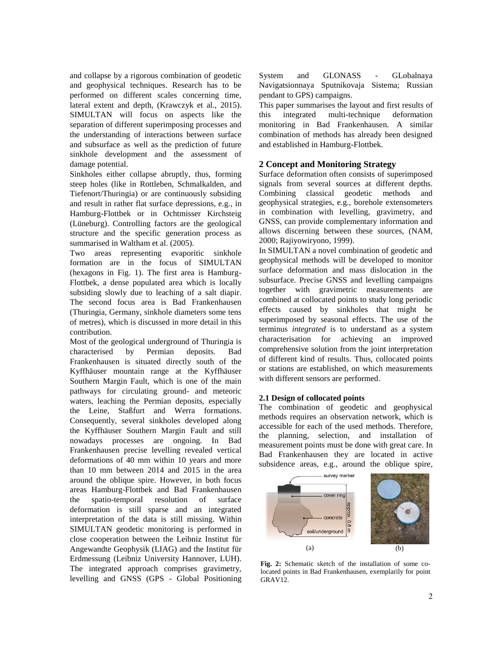and collapse by a rigorous combination of geodetic and geophysical techniques. Research has to be performed on different scales concerning time, lateral extent and depth, (Krawczyk et al., 2015). SIMULTAN will focus on aspects like the separation of different superimposing processes and the understanding of interactions between surface and subsurface as well as the prediction of future sinkhole development and the assessment of damage potential.

Sinkholes either collapse abruptly, thus, forming steep holes (like in Rottleben, Schmalkalden, and Tiefenort/Thuringia) or are continuously subsiding and result in rather flat surface depressions, e.g., in Hamburg-Flottbek or in Ochtmisser Kirchsteig (Lüneburg). Controlling factors are the geological structure and the specific generation process as summarised in Waltham et al. (2005).

Two areas representing evaporitic sinkhole formation are in the focus of SIMULTAN (hexagons in Fig. 1). The first area is Hamburg-Flottbek, a dense populated area which is locally subsiding slowly due to leaching of a salt diapir. The second focus area is Bad Frankenhausen (Thuringia, Germany, sinkhole diameters some tens of metres), which is discussed in more detail in this contribution.

Most of the geological underground of Thuringia is characterised by Permian deposits. Bad Frankenhausen is situated directly south of the Kyffhäuser mountain range at the Kyffhäuser Southern Margin Fault, which is one of the main pathways for circulating ground- and meteoric waters, leaching the Permian deposits, especially the Leine, Staßfurt and Werra formations. Consequently, several sinkholes developed along the Kyffhäuser Southern Margin Fault and still nowadays processes are ongoing. In Bad Frankenhausen precise levelling revealed vertical deformations of 40 mm within 10 years and more than 10 mm between 2014 and 2015 in the area around the oblique spire. However, in both focus areas Hamburg-Flottbek and Bad Frankenhausen the spatio-temporal resolution of surface deformation is still sparse and an integrated interpretation of the data is still missing. Within SIMULTAN geodetic monitoring is performed in close cooperation between the Leibniz Institut für Angewandte Geophysik (LIAG) and the Institut für Erdmessung (Leibniz University Hannover, LUH). The integrated approach comprises gravimetry, levelling and GNSS (GPS - Global Positioning

System and GLONASS - GLobalnaya Navigatsionnaya Sputnikovaja Sistema; Russian pendant to GPS) campaigns.

This paper summarises the layout and first results of this integrated multi-technique deformation monitoring in Bad Frankenhausen. A similar combination of methods has already been designed and established in Hamburg-Flottbek.

# **2 Concept and Monitoring Strategy**

Surface deformation often consists of superimposed signals from several sources at different depths. Combining classical geodetic methods and geophysical strategies, e.g., borehole extensometers in combination with levelling, gravimetry, and GNSS, can provide complementary information and allows discerning between these sources, (NAM, 2000; Rajiyowiryono, 1999).

In SIMULTAN a novel combination of geodetic and geophysical methods will be developed to monitor surface deformation and mass dislocation in the subsurface. Precise GNSS and levelling campaigns together with gravimetric measurements are combined at collocated points to study long periodic effects caused by sinkholes that might be superimposed by seasonal effects. The use of the terminus *integrated* is to understand as a system characterisation for achieving an improved comprehensive solution from the joint interpretation of different kind of results. Thus, collocated points or stations are established, on which measurements with different sensors are performed.

# **2.1 Design of collocated points**

The combination of geodetic and geophysical methods requires an observation network, which is accessible for each of the used methods. Therefore, the planning, selection, and installation of measurement points must be done with great care. In Bad Frankenhausen they are located in active subsidence areas, e.g., around the oblique spire,



**Fig. 2:** Schematic sketch of the installation of some colocated points in Bad Frankenhausen, exemplarily for point GRAV12.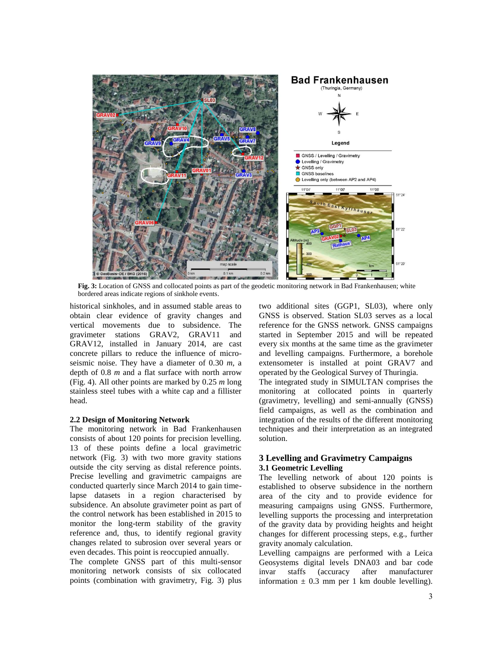

**Fig. 3:** Location of GNSS and collocated points as part of the geodetic monitoring network in Bad Frankenhausen; white bordered areas indicate regions of sinkhole events.

historical sinkholes, and in assumed stable areas to obtain clear evidence of gravity changes and vertical movements due to subsidence. The gravimeter stations GRAV2, GRAV11 and GRAV12, installed in January 2014, are cast concrete pillars to reduce the influence of microseismic noise. They have a diameter of 0.30 *m*, a depth of 0.8 *m* and a flat surface with north arrow (Fig. 4). All other points are marked by 0.25 *m* long stainless steel tubes with a white cap and a fillister head.

## **2.2 Design of Monitoring Network**

The monitoring network in Bad Frankenhausen consists of about 120 points for precision levelling. 13 of these points define a local gravimetric network (Fig. 3) with two more gravity stations outside the city serving as distal reference points. Precise levelling and gravimetric campaigns are conducted quarterly since March 2014 to gain timelapse datasets in a region characterised by subsidence. An absolute gravimeter point as part of the control network has been established in 2015 to monitor the long-term stability of the gravity reference and, thus, to identify regional gravity changes related to subrosion over several years or even decades. This point is reoccupied annually.

The complete GNSS part of this multi-sensor monitoring network consists of six collocated points (combination with gravimetry, Fig. 3) plus two additional sites (GGP1, SL03), where only GNSS is observed. Station SL03 serves as a local reference for the GNSS network. GNSS campaigns started in September 2015 and will be repeated every six months at the same time as the gravimeter and levelling campaigns. Furthermore, a borehole extensometer is installed at point GRAV7 and operated by the Geological Survey of Thuringia.

The integrated study in SIMULTAN comprises the monitoring at collocated points in quarterly (gravimetry, levelling) and semi-annually (GNSS) field campaigns, as well as the combination and integration of the results of the different monitoring techniques and their interpretation as an integrated solution.

# **3 Levelling and Gravimetry Campaigns 3.1 Geometric Levelling**

The levelling network of about 120 points is established to observe subsidence in the northern area of the city and to provide evidence for measuring campaigns using GNSS. Furthermore, levelling supports the processing and interpretation of the gravity data by providing heights and height changes for different processing steps, e.g., further gravity anomaly calculation.

Levelling campaigns are performed with a Leica Geosystems digital levels DNA03 and bar code invar staffs (accuracy after manufacturer information  $\pm$  0.3 mm per 1 km double levelling).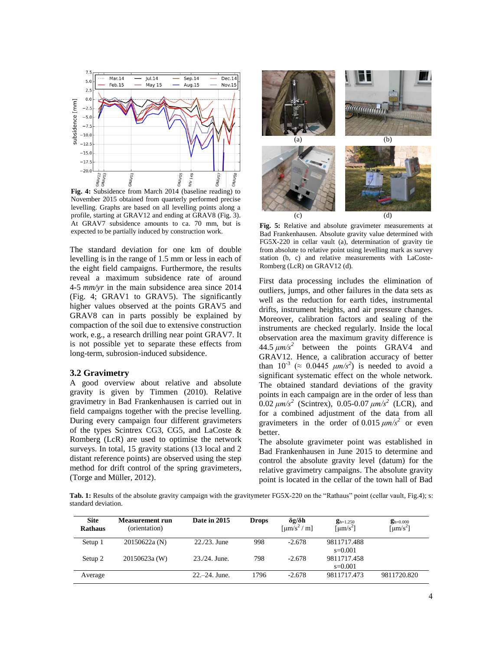

**Fig. 4:** Subsidence from March 2014 (baseline reading) to November 2015 obtained from quarterly performed precise levelling. Graphs are based on all levelling points along a profile, starting at GRAV12 and ending at GRAV8 (Fig. 3). At GRAV7 subsidence amounts to ca. 70 mm, but is expected to be partially induced by construction work.

The standard deviation for one km of double levelling is in the range of 1.5 mm or less in each of the eight field campaigns. Furthermore, the results reveal a maximum subsidence rate of around 4-5 *mm/yr* in the main subsidence area since 2014 (Fig. 4; GRAV1 to GRAV5). The significantly higher values observed at the points GRAV5 and GRAV8 can in parts possibly be explained by compaction of the soil due to extensive construction work, e.g., a research drilling near point GRAV7. It is not possible yet to separate these effects from long-term, subrosion-induced subsidence.

#### **3.2 Gravimetry**

A good overview about relative and absolute gravity is given by Timmen (2010). Relative gravimetry in Bad Frankenhausen is carried out in field campaigns together with the precise levelling. During every campaign four different gravimeters of the types Scintrex CG3, CG5, and LaCoste & Romberg (LcR) are used to optimise the network surveys. In total, 15 gravity stations (13 local and 2) distant reference points) are observed using the step method for drift control of the spring gravimeters, (Torge and Müller, 2012).



**Fig. 5:** Relative and absolute gravimeter measurements at Bad Frankenhausen. Absolute gravity value determined with FG5X-220 in cellar vault (a), determination of gravity tie from absolute to relative point using levelling mark as survey station (b, c) and relative measurements with LaCoste-Romberg (LcR) on GRAV12 (d).

First data processing includes the elimination of outliers, jumps, and other failures in the data sets as well as the reduction for earth tides, instrumental drifts, instrument heights, and air pressure changes. Moreover, calibration factors and sealing of the instruments are checked regularly. Inside the local observation area the maximum gravity difference is  $44.5 \mu m/s^2$  between the points GRAV4 and GRAV12. Hence, a calibration accuracy of better than  $10^{-3}$  ( $\approx 0.0445$   $\mu$ m/s<sup>2</sup>) is needed to avoid a significant systematic effect on the whole network. The obtained standard deviations of the gravity points in each campaign are in the order of less than  $0.02 \ \mu m/s^2$  (Scintrex), 0.05-0.07  $\mu m/s^2$  (LCR), and for a combined adjustment of the data from all gravimeters in the order of 0.015  $\mu$ m/s<sup>2</sup> or even better.

The absolute gravimeter point was established in Bad Frankenhausen in June 2015 to determine and control the absolute gravity level (datum) for the relative gravimetry campaigns. The absolute gravity point is located in the cellar of the town hall of Bad

**Tab. 1:** Results of the absolute gravity campaign with the gravitymeter FG5X-220 on the "Rathaus" point (cellar vault, Fig.4); s: standard deviation.

| <b>Site</b><br><b>Rathaus</b> | Measurement run<br>(orientation) | Date in 2015      | <b>Drops</b> | $\delta$ g/ $\delta$ h<br>$\left[\mu m/s^2/m\right]$ | $g_{h=1.250}$<br>$\lceil \mu m/s^2 \rceil$ | $g_{h=0.000}$<br>$\left[\mu \text{m/s}^2\right]$ |
|-------------------------------|----------------------------------|-------------------|--------------|------------------------------------------------------|--------------------------------------------|--------------------------------------------------|
| Setup 1                       | 20150622a (N)                    | $22/23$ . June    | 998          | $-2.678$                                             | 9811717.488<br>$s=0.001$                   |                                                  |
| Setup 2                       | 20150623a (W)                    | $23./24$ . June.  | 798          | $-2.678$                                             | 9811717.458<br>$s=0.001$                   |                                                  |
| Average                       |                                  | $22 - 24$ . June. | 1796         | $-2.678$                                             | 9811717.473                                | 9811720.820                                      |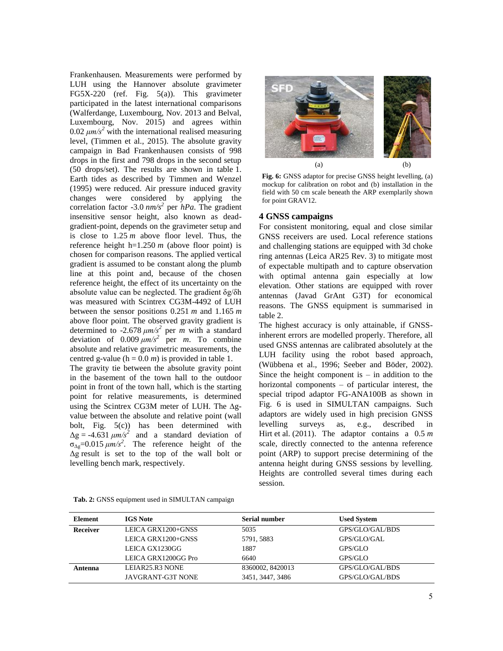Frankenhausen. Measurements were performed by LUH using the Hannover absolute gravimeter FG5X-220 (ref. Fig. 5(a)). This gravimeter participated in the latest international comparisons (Walferdange, Luxembourg, Nov. 2013 and Belval, Luxembourg, Nov. 2015) and agrees within  $0.02 \ \mu m/s^2$  with the international realised measuring level, (Timmen et al., 2015). The absolute gravity campaign in Bad Frankenhausen consists of 998 drops in the first and 798 drops in the second setup (50 drops/set). The results are shown in table 1. Earth tides as described by Timmen and Wenzel (1995) were reduced. Air pressure induced gravity changes were considered by applying the correlation factor -3.0 *nm/s<sup>2</sup>* per *hPa*. The gradient insensitive sensor height, also known as deadgradient-point, depends on the gravimeter setup and is close to 1.25 *m* above floor level. Thus, the reference height  $h=1.250 \ m$  (above floor point) is chosen for comparison reasons. The applied vertical gradient is assumed to be constant along the plumb line at this point and, because of the chosen reference height, the effect of its uncertainty on the absolute value can be neglected. The gradient δg/δh was measured with Scintrex CG3M-4492 of LUH between the sensor positions 0.251 *m* and 1.165 *m* above floor point. The observed gravity gradient is determined to -2.678  $\mu$ m/s<sup>2</sup> per *m* with a standard deviation of  $0.009 \mu m/s^2$  per *m*. To combine absolute and relative gravimetric measurements, the centred g-value ( $h = 0.0$  *m*) is provided in table 1.

The gravity tie between the absolute gravity point in the basement of the town hall to the outdoor point in front of the town hall, which is the starting point for relative measurements, is determined using the Scintrex CG3M meter of LUH. The  $\Delta g$ value between the absolute and relative point (wall bolt, Fig. 5(c)) has been determined with  $\Delta g = -4.631 \mu m/s^2$  and a standard deviation of  $\sigma_{\Delta g}$ =0.015  $\mu$ m/s<sup>2</sup>. The reference height of the Δg result is set to the top of the wall bolt or levelling bench mark, respectively.



**Fig. 6:** GNSS adaptor for precise GNSS height levelling, (a) mockup for calibration on robot and (b) installation in the field with 50 cm scale beneath the ARP exemplarily shown for point GRAV12.

## **4 GNSS campaigns**

For consistent monitoring, equal and close similar GNSS receivers are used. Local reference stations and challenging stations are equipped with 3d choke ring antennas (Leica AR25 Rev. 3) to mitigate most of expectable multipath and to capture observation with optimal antenna gain especially at low elevation. Other stations are equipped with rover antennas (Javad GrAnt G3T) for economical reasons. The GNSS equipment is summarised in table 2.

The highest accuracy is only attainable, if GNSSinherent errors are modelled properly. Therefore, all used GNSS antennas are calibrated absolutely at the LUH facility using the robot based approach, (Wübbena et al., 1996; Seeber and Böder, 2002). Since the height component is  $-$  in addition to the horizontal components – of particular interest, the special tripod adaptor FG-ANA100B as shown in Fig. 6 is used in SIMULTAN campaigns. Such adaptors are widely used in high precision GNSS levelling surveys as, e.g., described in Hirt et al. (2011). The adaptor contains a 0.5 *m* scale, directly connected to the antenna reference point (ARP) to support precise determining of the antenna height during GNSS sessions by levelling. Heights are controlled several times during each session.

| <b>Element</b> | <b>IGS</b> Note     | Serial number    | <b>Used System</b> |  |
|----------------|---------------------|------------------|--------------------|--|
| Receiver       | LEICA GRX1200+GNSS  | 5035             | GPS/GLO/GAL/BDS    |  |
|                | LEICA GRX1200+GNSS  | 5791, 5883       | GPS/GLO/GAL        |  |
|                | LEICA GX1230GG      | 1887             | GPS/GLO            |  |
|                | LEICA GRX1200GG Pro | 6640             | GPS/GLO            |  |
| Antenna        | LEIAR25.R3 NONE     | 8360002, 8420013 | GPS/GLO/GAL/BDS    |  |
|                | JAVGRANT-G3T NONE   | 3451, 3447, 3486 | GPS/GLO/GAL/BDS    |  |

**Tab. 2:** GNSS equipment used in SIMULTAN campaign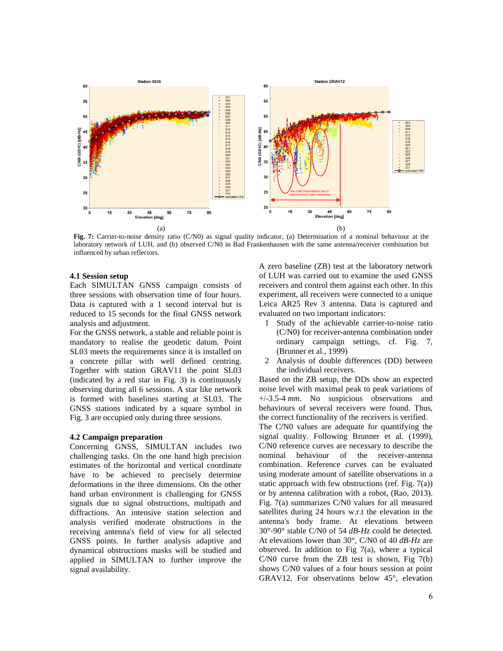

**Fig. 7:** Carrier-to-noise density ratio (C/N0) as signal quality indicator, (a) Determination of a nominal behaviour at the laboratory network of LUH, and (b) observed C/N0 in Bad Frankenhausen with the same antenna/receiver combination but influenced by urban reflectors.

## **4.1 Session setup**

Each SIMULTAN GNSS campaign consists of three sessions with observation time of four hours. Data is captured with a 1 second interval but is reduced to 15 seconds for the final GNSS network analysis and adjustment.

For the GNSS network, a stable and reliable point is mandatory to realise the geodetic datum. Point SL03 meets the requirements since it is installed on a concrete pillar with well defined centring. Together with station GRAV11 the point SL03 (indicated by a red star in Fig. 3) is continuously observing during all 6 sessions. A star like network is formed with baselines starting at SL03. The GNSS stations indicated by a square symbol in Fig. 3 are occupied only during three sessions.

#### **4.2 Campaign preparation**

Concerning GNSS, SIMULTAN includes two challenging tasks. On the one hand high precision estimates of the horizontal and vertical coordinate have to be achieved to precisely determine deformations in the three dimensions. On the other hand urban environment is challenging for GNSS signals due to signal obstructions, multipath and diffractions. An intensive station selection and analysis verified moderate obstructions in the receiving antenna's field of view for all selected GNSS points. In further analysis adaptive and dynamical obstructions masks will be studied and applied in SIMULTAN to further improve the signal availability.

A zero baseline (ZB) test at the laboratory network of LUH was carried out to examine the used GNSS receivers and control them against each other. In this experiment, all receivers were connected to a unique Leica AR25 Rev 3 antenna. Data is captured and evaluated on two important indicators:

- 1 Study of the achievable carrier-to-noise ratio (C/N0) for receiver-antenna combination under ordinary campaign settings, cf. Fig. 7, (Brunner et al., 1999)
- 2 Analysis of double differences (DD) between the individual receivers.

Based on the ZB setup, the DDs show an expected noise level with maximal peak to peak variations of +/-3.5-4 *mm*. No suspicious observations and behaviours of several receivers were found. Thus, the correct functionality of the receivers is verified.

The C/N0 values are adequate for quantifying the signal quality. Following Brunner et al. (1999), C/N0 reference curves are necessary to describe the nominal behaviour of the receiver-antenna combination. Reference curves can be evaluated using moderate amount of satellite observations in a static approach with few obstructions (ref. Fig.  $7(a)$ ) or by antenna calibration with a robot, (Rao, 2013). Fig. 7(a) summarizes C/N0 values for all measured satellites during 24 hours w.r.t the elevation in the antenna's body frame. At elevations between 30°-90° stable C/N0 of 54 *dB-Hz* could be detected. At elevations lower than 30°, C/N0 of 40 *dB-Hz* are observed. In addition to Fig  $7(a)$ , where a typical C/N0 curve from the ZB test is shown, Fig 7(b) shows C/N0 values of a four hours session at point GRAV12. For observations below 45°, elevation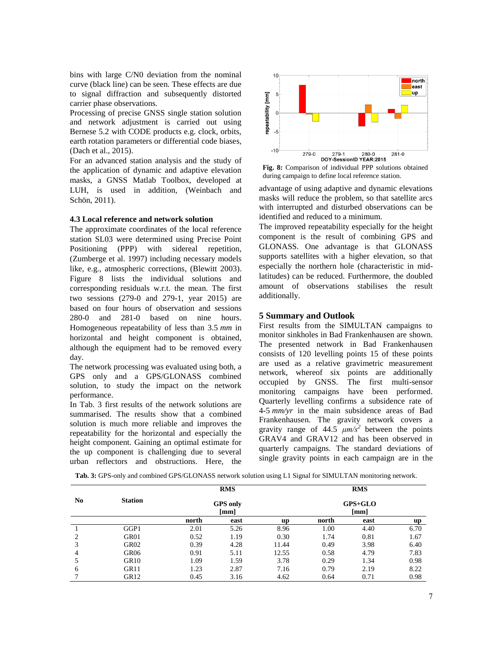bins with large C/N0 deviation from the nominal curve (black line) can be seen. These effects are due to signal diffraction and subsequently distorted carrier phase observations.

Processing of precise GNSS single station solution and network adjustment is carried out using Bernese 5.2 with CODE products e.g. clock, orbits, earth rotation parameters or differential code biases, (Dach et al., 2015).

For an advanced station analysis and the study of the application of dynamic and adaptive elevation masks, a GNSS Matlab Toolbox, developed at LUH, is used in addition, (Weinbach and Schön, 2011).

#### **4.3 Local reference and network solution**

The approximate coordinates of the local reference station SL03 were determined using Precise Point Positioning (PPP) with sidereal repetition, (Zumberge et al. 1997) including necessary models like, e.g., atmospheric corrections, (Blewitt 2003). Figure 8 lists the individual solutions and corresponding residuals w.r.t. the mean. The first two sessions (279-0 and 279-1, year 2015) are based on four hours of observation and sessions 280-0 and 281-0 based on nine hours. Homogeneous repeatability of less than 3.5 *mm* in horizontal and height component is obtained, although the equipment had to be removed every day.

The network processing was evaluated using both, a GPS only and a GPS/GLONASS combined solution, to study the impact on the network performance.

In Tab. 3 first results of the network solutions are summarised. The results show that a combined solution is much more reliable and improves the repeatability for the horizontal and especially the height component. Gaining an optimal estimate for the up component is challenging due to several urban reflectors and obstructions. Here, the



**Fig. 8:** Comparison of individual PPP solutions obtained during campaign to define local reference station.

advantage of using adaptive and dynamic elevations masks will reduce the problem, so that satellite arcs with interrupted and disturbed observations can be identified and reduced to a minimum.

The improved repeatability especially for the height component is the result of combining GPS and GLONASS. One advantage is that GLONASS supports satellites with a higher elevation, so that especially the northern hole (characteristic in midlatitudes) can be reduced. Furthermore, the doubled amount of observations stabilises the result additionally.

## **5 Summary and Outlook**

First results from the SIMULTAN campaigns to monitor sinkholes in Bad Frankenhausen are shown. The presented network in Bad Frankenhausen consists of 120 levelling points 15 of these points are used as a relative gravimetric measurement network, whereof six points are additionally occupied by GNSS. The first multi-sensor monitoring campaigns have been performed. Quarterly levelling confirms a subsidence rate of 4-5 *mm/yr* in the main subsidence areas of Bad Frankenhausen. The gravity network covers a gravity range of  $44.5 \mu m/s^2$  between the points GRAV4 and GRAV12 and has been observed in quarterly campaigns. The standard deviations of single gravity points in each campaign are in the

**Tab. 3:** GPS-only and combined GPS/GLONASS network solution using L1 Signal for SIMULTAN monitoring network.

|    | <b>Station</b>   | <b>RMS</b><br><b>GPS</b> only<br>$\lceil$ mm $\rceil$ |      |       | <b>RMS</b><br>GPS+GLO<br>[mm] |      |      |
|----|------------------|-------------------------------------------------------|------|-------|-------------------------------|------|------|
| No |                  |                                                       |      |       |                               |      |      |
|    |                  | north                                                 | east | up    | north                         | east | up   |
|    | GGP1             | 2.01                                                  | 5.26 | 8.96  | 1.00                          | 4.40 | 6.70 |
| 2  | GR01             | 0.52                                                  | 1.19 | 0.30  | 1.74                          | 0.81 | 1.67 |
| 3  | GR02             | 0.39                                                  | 4.28 | 11.44 | 0.49                          | 3.98 | 6.40 |
| 4  | GR <sub>06</sub> | 0.91                                                  | 5.11 | 12.55 | 0.58                          | 4.79 | 7.83 |
|    | GR <sub>10</sub> | 1.09                                                  | 1.59 | 3.78  | 0.29                          | 1.34 | 0.98 |
| 6  | GR11             | 1.23                                                  | 2.87 | 7.16  | 0.79                          | 2.19 | 8.22 |
|    | GR <sub>12</sub> | 0.45                                                  | 3.16 | 4.62  | 0.64                          | 0.71 | 0.98 |